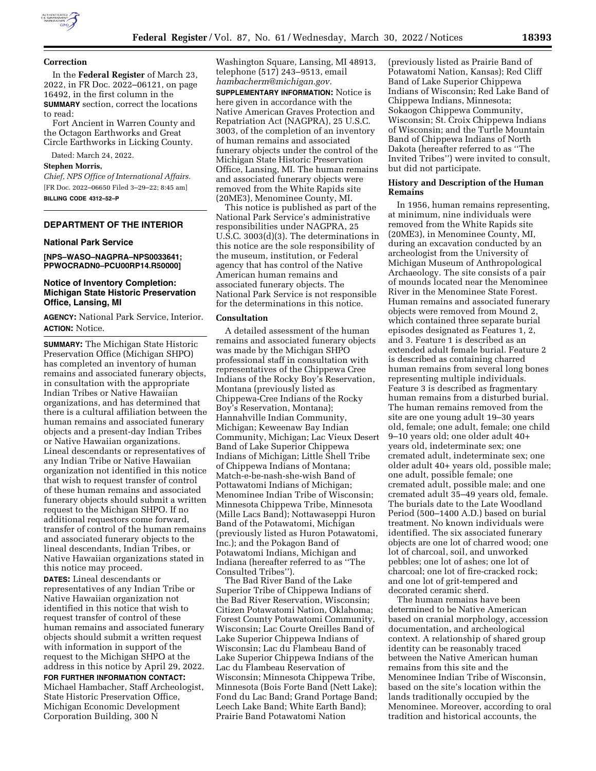

#### **Correction**

In the **Federal Register** of March 23, 2022, in FR Doc. 2022–06121, on page 16492, in the first column in the **SUMMARY** section, correct the locations to read:

Fort Ancient in Warren County and the Octagon Earthworks and Great Circle Earthworks in Licking County.

Dated: March 24, 2022.

#### **Stephen Morris,**

*Chief, NPS Office of International Affairs.*  [FR Doc. 2022–06650 Filed 3–29–22; 8:45 am] **BILLING CODE 4312–52–P** 

# **DEPARTMENT OF THE INTERIOR**

## **National Park Service**

**[NPS–WASO–NAGPRA–NPS0033641; PPWOCRADN0–PCU00RP14.R50000]** 

# **Notice of Inventory Completion: Michigan State Historic Preservation Office, Lansing, MI**

**AGENCY:** National Park Service, Interior. **ACTION:** Notice.

**SUMMARY:** The Michigan State Historic Preservation Office (Michigan SHPO) has completed an inventory of human remains and associated funerary objects, in consultation with the appropriate Indian Tribes or Native Hawaiian organizations, and has determined that there is a cultural affiliation between the human remains and associated funerary objects and a present-day Indian Tribes or Native Hawaiian organizations. Lineal descendants or representatives of any Indian Tribe or Native Hawaiian organization not identified in this notice that wish to request transfer of control of these human remains and associated funerary objects should submit a written request to the Michigan SHPO. If no additional requestors come forward, transfer of control of the human remains and associated funerary objects to the lineal descendants, Indian Tribes, or Native Hawaiian organizations stated in this notice may proceed.

**DATES:** Lineal descendants or representatives of any Indian Tribe or Native Hawaiian organization not identified in this notice that wish to request transfer of control of these human remains and associated funerary objects should submit a written request with information in support of the request to the Michigan SHPO at the address in this notice by April 29, 2022.

**FOR FURTHER INFORMATION CONTACT:**  Michael Hambacher, Staff Archeologist, State Historic Preservation Office, Michigan Economic Development Corporation Building, 300 N

Washington Square, Lansing, MI 48913, telephone (517) 243–9513, email *[hambacherm@michigan.gov.](mailto:hambacherm@michigan.gov)* 

**SUPPLEMENTARY INFORMATION:** Notice is here given in accordance with the Native American Graves Protection and Repatriation Act (NAGPRA), 25 U.S.C. 3003, of the completion of an inventory of human remains and associated funerary objects under the control of the Michigan State Historic Preservation Office, Lansing, MI. The human remains and associated funerary objects were removed from the White Rapids site (20ME3), Menominee County, MI.

This notice is published as part of the National Park Service's administrative responsibilities under NAGPRA, 25 U.S.C. 3003(d)(3). The determinations in this notice are the sole responsibility of the museum, institution, or Federal agency that has control of the Native American human remains and associated funerary objects. The National Park Service is not responsible for the determinations in this notice.

## **Consultation**

A detailed assessment of the human remains and associated funerary objects was made by the Michigan SHPO professional staff in consultation with representatives of the Chippewa Cree Indians of the Rocky Boy's Reservation, Montana (previously listed as Chippewa-Cree Indians of the Rocky Boy's Reservation, Montana); Hannahville Indian Community, Michigan; Keweenaw Bay Indian Community, Michigan; Lac Vieux Desert Band of Lake Superior Chippewa Indians of Michigan; Little Shell Tribe of Chippewa Indians of Montana; Match-e-be-nash-she-wish Band of Pottawatomi Indians of Michigan; Menominee Indian Tribe of Wisconsin; Minnesota Chippewa Tribe, Minnesota (Mille Lacs Band); Nottawaseppi Huron Band of the Potawatomi, Michigan (previously listed as Huron Potawatomi, Inc.); and the Pokagon Band of Potawatomi Indians, Michigan and Indiana (hereafter referred to as ''The Consulted Tribes'').

The Bad River Band of the Lake Superior Tribe of Chippewa Indians of the Bad River Reservation, Wisconsin; Citizen Potawatomi Nation, Oklahoma; Forest County Potawatomi Community, Wisconsin; Lac Courte Oreilles Band of Lake Superior Chippewa Indians of Wisconsin; Lac du Flambeau Band of Lake Superior Chippewa Indians of the Lac du Flambeau Reservation of Wisconsin; Minnesota Chippewa Tribe, Minnesota (Bois Forte Band (Nett Lake); Fond du Lac Band; Grand Portage Band; Leech Lake Band; White Earth Band); Prairie Band Potawatomi Nation

(previously listed as Prairie Band of Potawatomi Nation, Kansas); Red Cliff Band of Lake Superior Chippewa Indians of Wisconsin; Red Lake Band of Chippewa Indians, Minnesota; Sokaogon Chippewa Community, Wisconsin; St. Croix Chippewa Indians of Wisconsin; and the Turtle Mountain Band of Chippewa Indians of North Dakota (hereafter referred to as ''The Invited Tribes'') were invited to consult, but did not participate.

## **History and Description of the Human Remains**

In 1956, human remains representing, at minimum, nine individuals were removed from the White Rapids site (20ME3), in Menominee County, MI, during an excavation conducted by an archeologist from the University of Michigan Museum of Anthropological Archaeology. The site consists of a pair of mounds located near the Menominee River in the Menominee State Forest. Human remains and associated funerary objects were removed from Mound 2, which contained three separate burial episodes designated as Features 1, 2, and 3. Feature 1 is described as an extended adult female burial. Feature 2 is described as containing charred human remains from several long bones representing multiple individuals. Feature 3 is described as fragmentary human remains from a disturbed burial. The human remains removed from the site are one young adult 19–30 years old, female; one adult, female; one child 9–10 years old; one older adult 40+ years old, indeterminate sex; one cremated adult, indeterminate sex; one older adult 40+ years old, possible male; one adult, possible female; one cremated adult, possible male; and one cremated adult 35–49 years old, female. The burials date to the Late Woodland Period (500–1400 A.D.) based on burial treatment. No known individuals were identified. The six associated funerary objects are one lot of charred wood; one lot of charcoal, soil, and unworked pebbles; one lot of ashes; one lot of charcoal; one lot of fire-cracked rock; and one lot of grit-tempered and decorated ceramic sherd.

The human remains have been determined to be Native American based on cranial morphology, accession documentation, and archeological context. A relationship of shared group identity can be reasonably traced between the Native American human remains from this site and the Menominee Indian Tribe of Wisconsin, based on the site's location within the lands traditionally occupied by the Menominee. Moreover, according to oral tradition and historical accounts, the